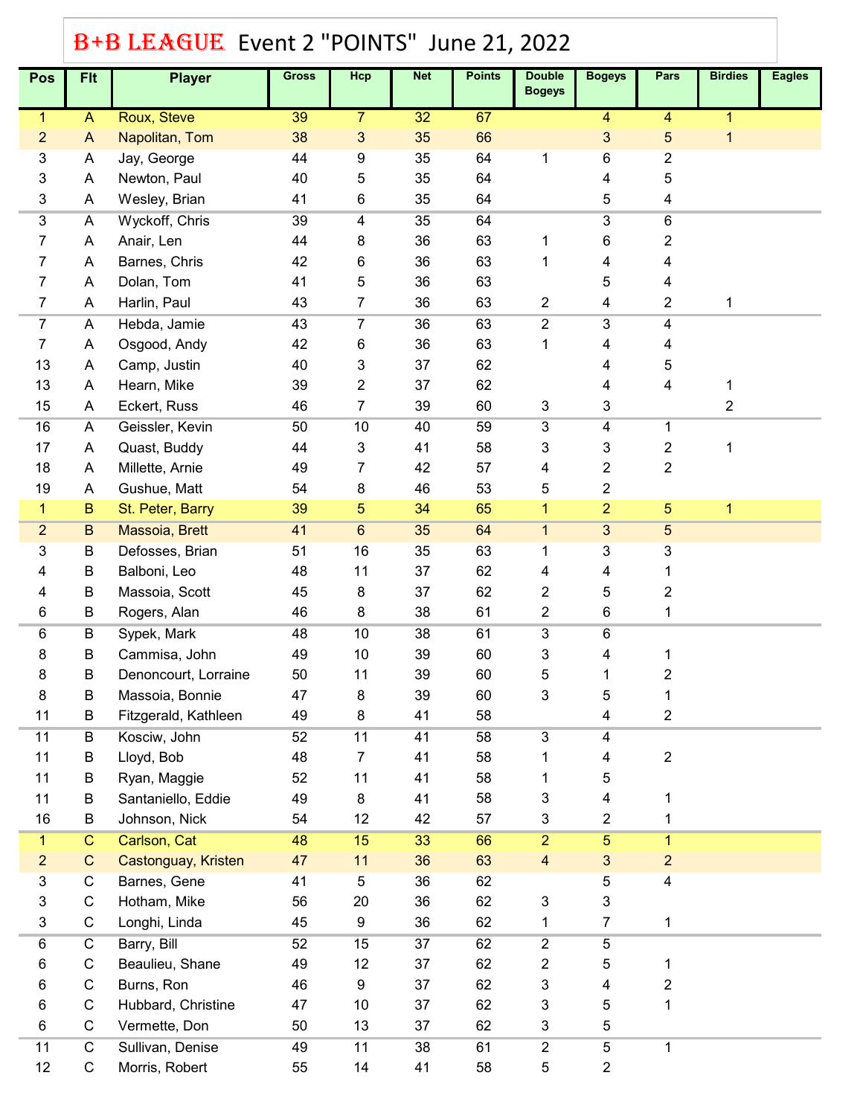## B+B LEAGUE Event 2 "POINTS" June 21, 2022

| Pos                       | <b>FIt</b>      | <b>Player</b>        | <b>Gross</b> | Hcp             | <b>Net</b> | <b>Points</b> | <b>Double</b><br><b>Bogeys</b> | <b>Bogeys</b>  | Pars                    | <b>Birdies</b> | <b>Eagles</b> |
|---------------------------|-----------------|----------------------|--------------|-----------------|------------|---------------|--------------------------------|----------------|-------------------------|----------------|---------------|
| $\mathbf{1}$              | $\overline{A}$  | Roux, Steve          | 39           | 7               | 32         | 67            |                                | 4              | 4                       | 1              |               |
| $\overline{2}$            | A               | Napolitan, Tom       | 38           | 3               | 35         | 66            |                                | 3              | 5                       | 1              |               |
| $\ensuremath{\mathsf{3}}$ | A               | Jay, George          | 44           | 9               | 35         | 64            | 1                              | 6              | 2                       |                |               |
| 3                         | A               | Newton, Paul         | 40           | 5               | 35         | 64            |                                | 4              | 5                       |                |               |
| $\ensuremath{\mathsf{3}}$ | A               | Wesley, Brian        | 41           | 6               | 35         | 64            |                                | 5              | 4                       |                |               |
| $\overline{3}$            | A               | Wyckoff, Chris       | 39           | 4               | 35         | 64            |                                | $\overline{3}$ | 6                       |                |               |
| 7                         | A               | Anair, Len           | 44           | 8               | 36         | 63            | 1                              | 6              | 2                       |                |               |
| 7                         | A               | Barnes, Chris        | 42           | 6               | 36         | 63            | 1                              | 4              | 4                       |                |               |
| 7                         | A               | Dolan, Tom           | 41           | 5               | 36         | 63            |                                | 5              | 4                       |                |               |
| $\overline{7}$            | A               | Harlin, Paul         | 43           | 7               | 36         | 63            | 2                              | 4              | 2                       | 1              |               |
| $\overline{7}$            | A               | Hebda, Jamie         | 43           | 7               | 36         | 63            | $\overline{2}$                 | $\overline{3}$ | 4                       |                |               |
| 7                         | A               | Osgood, Andy         | 42           | 6               | 36         | 63            | 1                              | 4              | 4                       |                |               |
| 13                        | A               | Camp, Justin         | 40           | 3               | 37         | 62            |                                | 4              | 5                       |                |               |
| 13                        | A               | Hearn, Mike          | 39           | 2               | 37         | 62            |                                | 4              | 4                       | 1              |               |
| 15                        | A               | Eckert, Russ         | 46           | 7               | 39         | 60            | 3                              | 3              |                         | 2              |               |
| 16                        | A               | Geissler, Kevin      | 50           | 10              | 40         | 59            | 3                              | 4              | 1                       |                |               |
| 17                        | A               | Quast, Buddy         | 44           | 3               | 41         | 58            | 3                              | 3              | 2                       | 1              |               |
| 18                        | A               | Millette, Arnie      | 49           | 7               | 42         | 57            | 4                              | 2              | $\overline{\mathbf{c}}$ |                |               |
| 19                        | A               | Gushue, Matt         | 54           | 8               | 46         | 53            | 5                              | $\overline{2}$ |                         |                |               |
| $\mathbf{1}$              | $\, {\bf B}$    | St. Peter, Barry     | 39           | 5               | 34         | 65            | $\mathbf{1}$                   | $\overline{2}$ | 5                       | 1              |               |
| $\overline{2}$            | $\, {\bf B} \,$ | Massoia, Brett       | 41           | $6\phantom{.}6$ | 35         | 64            | $\mathbf{1}$                   | $\overline{3}$ | 5                       |                |               |
| 3                         | B               | Defosses, Brian      | 51           | 16              | 35         | 63            | 1                              | 3              | 3                       |                |               |
| 4                         | B               | Balboni, Leo         | 48           | 11              | 37         | 62            | 4                              | 4              | 1                       |                |               |
| 4                         | B               | Massoia, Scott       | 45           | 8               | 37         | 62            | 2                              | 5              | 2                       |                |               |
| 6                         | B               | Rogers, Alan         | 46           | 8               | 38         | 61            | $\overline{2}$                 | 6              | 1                       |                |               |
| 6                         | B               | Sypek, Mark          | 48           | 10              | 38         | 61            | $\overline{3}$                 | 6              |                         |                |               |
| 8                         | B               | Cammisa, John        | 49           | $10$            | 39         | 60            | 3                              | 4              |                         |                |               |
| 8                         | B               | Denoncourt, Lorraine | 50           | 11              | 39         | 60            | 5                              | 1              | 2                       |                |               |
| 8                         | B               | Massoia, Bonnie      | 47           | 8               | 39         | 60            | 3                              | 5              |                         |                |               |
| 11                        | B               | Fitzgerald, Kathleen | 49           | 8               | 41         | 58            |                                | 4              | 2                       |                |               |
| 11                        | B               | Kosciw, John         | 52           | 11              | 41         | 58            | $\overline{3}$                 | 4              |                         |                |               |
| 11                        | B               | Lloyd, Bob           | 48           | 7               | 41         | 58            | 1                              | 4              | 2                       |                |               |
| 11                        | B               | Ryan, Maggie         | 52           | 11              | 41         | 58            | 1                              | 5              |                         |                |               |
| 11                        | B               | Santaniello, Eddie   | 49           | 8               | 41         | 58            | 3                              | 4              | 1                       |                |               |
| 16                        | B               | Johnson, Nick        | 54           | 12              | 42         | 57            | 3                              | $\overline{2}$ | 1                       |                |               |
| $\mathbf{1}$              | $\overline{C}$  | Carlson, Cat         | 48           | 15              | 33         | 66            | $\overline{2}$                 | $\overline{5}$ | $\mathbf{1}$            |                |               |
| $\overline{c}$            | $\mathbf C$     | Castonguay, Kristen  | 47           | 11              | 36         | 63            | $\overline{4}$                 | $\mathbf{3}$   | $\overline{2}$          |                |               |
| 3                         | C               | Barnes, Gene         | 41           | 5               | 36         | 62            |                                | 5              | 4                       |                |               |
| 3                         | C               | Hotham, Mike         | 56           | 20              | 36         | 62            | $\ensuremath{\mathsf{3}}$      | 3              |                         |                |               |
| $\ensuremath{\mathsf{3}}$ | $\mathsf C$     | Longhi, Linda        | 45           | 9               | 36         | 62            | 1                              | $\overline{7}$ | 1                       |                |               |
| 6                         | C               | Barry, Bill          | 52           | 15              | 37         | 62            | $\overline{2}$                 | 5              |                         |                |               |
| 6                         | C               | Beaulieu, Shane      | 49           | 12              | 37         | 62            | 2                              | 5              | 1                       |                |               |
| 6                         | C               | Burns, Ron           | 46           | 9               | 37         | 62            | 3                              | 4              | 2                       |                |               |
| 6                         | $\mathsf C$     | Hubbard, Christine   | 47           | 10              | 37         | 62            | 3                              | 5              | 1                       |                |               |
| 6                         | $\mathsf C$     | Vermette, Don        | 50           | 13              | 37         | 62            | 3                              | 5              |                         |                |               |
| 11                        | $\overline{C}$  | Sullivan, Denise     | 49           | 11              | 38         | 61            | $\overline{2}$                 | $\overline{5}$ | 1                       |                |               |
| 12                        | $\mathsf C$     | Morris, Robert       | 55           | 14              | 41         | 58            | 5                              | $\overline{2}$ |                         |                |               |